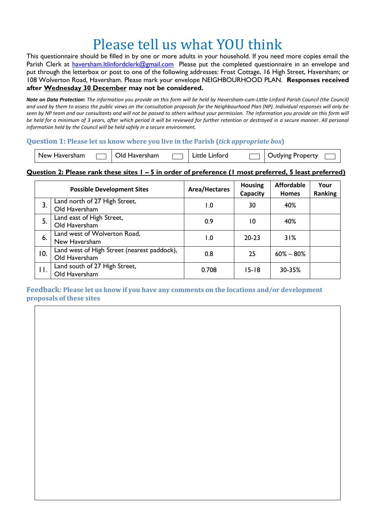# Please tell us what YOU think

This questionnaire should be filled in by one or more adults in your household. If you need more copies email the Parish Clerk at [haversham.ltlinfordclerk@gmail.com](mailto:haversham.ltlinfordclerk@gmail.com) Please put the completed questionnaire in an envelope and put through the letterbox or post to one of the following addresses: Frost Cottage, 16 High Street, Haversham; or 108 Wolverton Road, Haversham. Please mark your envelope NEIGHBOURHOOD PLAN. **Responses received after Wednesday 30 December may not be considered.**

*Note on Data Protection: The information you provide on this form will be held by Haversham-cum-Little Linford Parish Council (the Council) and used by them to assess the public views on the consultation proposals for the Neighbourhood Plan (NP). Individual responses will only be seen by NP team and our consultants and will not be passed to others without your permission. The information you provide on this form will be held for a minimum of 3 years, after which period it will be reviewed for further retention or destroyed in a secure manner. All personal information held by the Council will be held safely in a secure environment.* 

### **Question 1: Please let us know where you live in the Parish (***tick appropriate box***)**

|  | New Haversham |  | Old Haversham |  | Little Linford |  | <b>Outlying Property</b> |  |
|--|---------------|--|---------------|--|----------------|--|--------------------------|--|
|--|---------------|--|---------------|--|----------------|--|--------------------------|--|

### **Question 2: Please rank these sites 1 – 5 in order of preference (1 most preferred, 5 least preferred)**

| <b>Possible Development Sites</b> |                                                              | <b>Area/Hectares</b> | <b>Housing</b><br>Capacity | <b>Affordable</b><br><b>Homes</b> | Your<br>Ranking |
|-----------------------------------|--------------------------------------------------------------|----------------------|----------------------------|-----------------------------------|-----------------|
| 3.                                | Land north of 27 High Street,<br>Old Haversham               | $\overline{1.0}$     | 30                         | 40%                               |                 |
| 5.                                | Land east of High Street,<br>Old Haversham                   | 0.9                  | 10                         | 40%                               |                 |
| 6.                                | Land west of Wolverton Road,<br>New Haversham                | 1.0                  | $20 - 23$                  | 31%                               |                 |
| 10.                               | Land west of High Street (nearest paddock),<br>Old Haversham | 0.8                  | 25                         | $60\% - 80\%$                     |                 |
| П.                                | Land south of 27 High Street,<br>Old Haversham               | 0.708                | $15 - 18$                  | 30-35%                            |                 |

### **Feedback: Please let us know if you have any comments on the locations and/or development proposals of these sites**